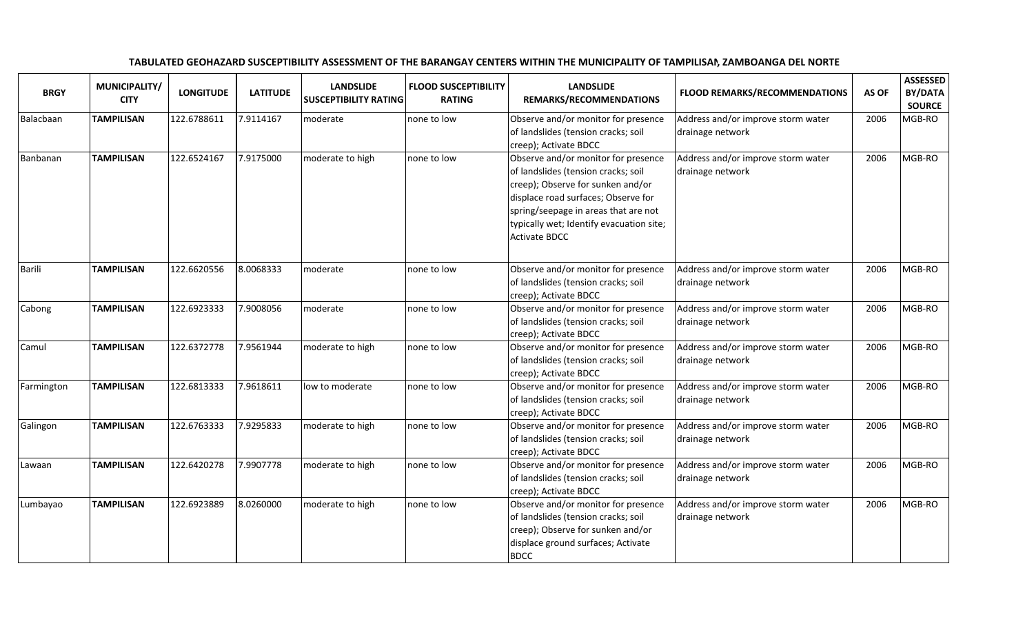## **BRGY** MUNICIPALITY/ LONGITUDE LATITUDE LANDSLIDE LANDSLIDE FLOOD SUSCEPTIBILITY **REMARKS/RECOMMENDATIONS** FLOOD REMARKS/RECOMMENDATIONS AS OF BY/DATA SOURCE <sup>2006</sup> MGB-ROBalacbaan TAMPILISAN 122.6788611 7.9114167 moderate none to low Observe and/or monitor for presence of landslides (tension cracks; soil creep); Activate BDCCN | 122.6524167 | 7.9175000 | moderate to high | none to low | Observe and/or monitor for presence Address and/or improve storm water drainage networkBanbanan TAMPILISANof landslides (tension cracks; soil creep); Observe for sunken and/or displace road surfaces; Observe for spring/seepage in areas that are not typically wet; Identify evacuation site; Activate BDCCAddress and/or improve storm water drainage network<sup>2006</sup> MGB-ROBarili TAMPILISAN 122.6620556 8.0068333 moderate none to low Observe and/or monitor for presence of landslides (tension cracks; soil creep); Activate BDCCN 22.6923333 7.9008056 moderate none to low Observe and/or monitor for presence Address and/or improve storm water drainage network<sup>2006</sup> MGB-ROCabong TAMPILISANof landslides (tension cracks; soil creep); Activate BDCCN | 122.6372778 | 7.9561944 | moderate to high | none to low | Observe and/or monitor for presence Address and/or improve storm water drainage network<sup>2006</sup> MGB-ROCamul TAMPILISANof landslides (tension cracks; soil creep); Activate BDCCN 22.6813333 7.9618611 low to moderate none to low Observe and/or monitor for presence Address and/or improve storm water drainage network<sup>2006</sup> MGB-ROFarmington TAMPILISANof landslides (tension cracks; soil creep); Activate BDCCN 22.6763333 7.9295833 moderate to high none to low Observe and/or monitor for presence Address and/or improve storm water drainage network<sup>2006</sup> MGB-ROGalingon TAMPILISANof landslides (tension cracks; soil creep); Activate BDCCN | 122.6420278 | 7.9907778 | moderate to high | none to low | Observe and/or monitor for presence Address and/or improve storm water drainage network<sup>2006</sup> MGB-ROLawaan TAMPILISANof landslides (tension cracks; soil creep); Activate BDCCN 22.6923889 8.0260000 moderate to high none to low Observe and/or monitor for presence Address and/or improve storm water drainage network<sup>2006</sup> MGB-ROLumbayao TAMPILISANof landslides (tension cracks; soil creep); Observe for sunken and/or displace ground surfaces; Activate BDCCAddress and/or improve storm water drainage network<sup>2006</sup> MGB-RO

TABULATED GEOHAZARD SUSCEPTIBILITY ASSESSMENT OF THE BARANGAY CENTERS WITHIN THE MUNICIPALITY OF TAMPILISAN, ZAMBOANGA DEL NORTE